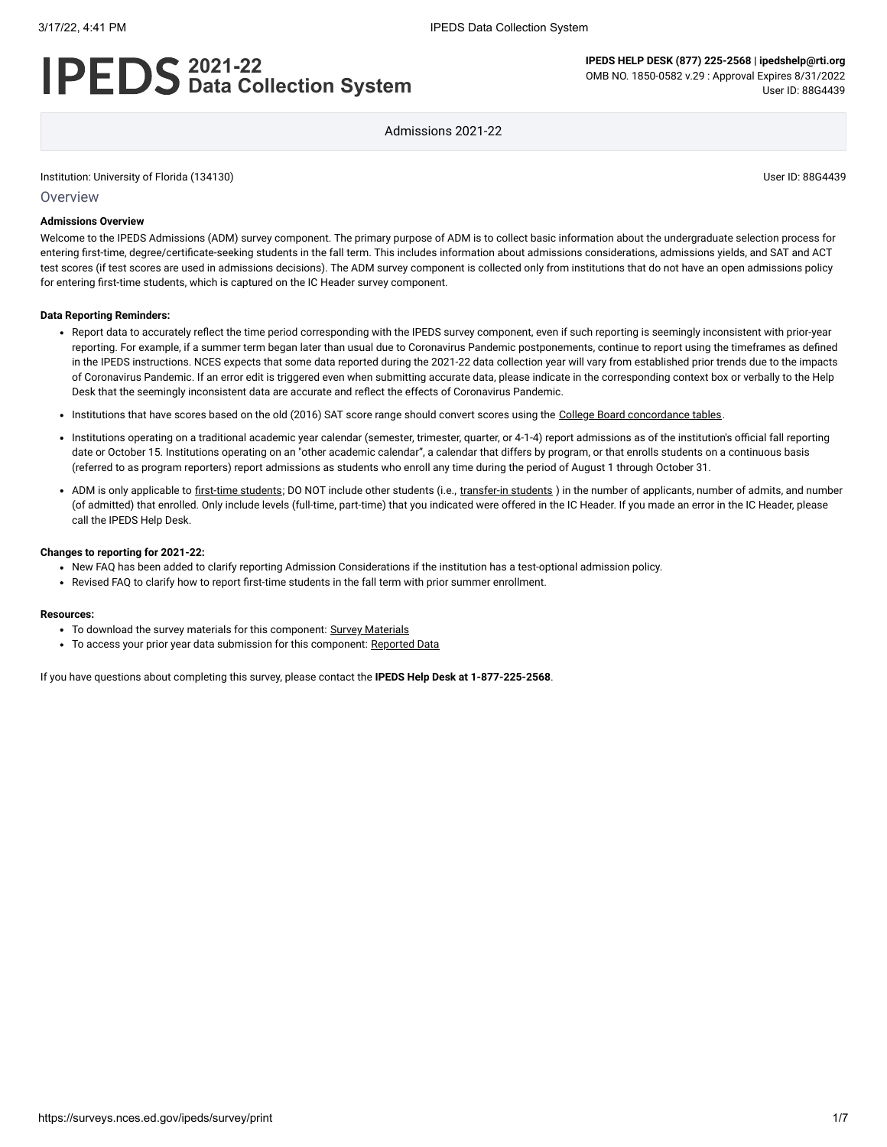# **2021-22 Data Collection System**

**IPEDS HELP DESK (877) 225-2568 | ipedshelp@rti.org** OMB NO. 1850-0582 v.29 : Approval Expires 8/31/2022 User ID: 88G4439

Admissions 2021-22

Institution: University of Florida (134130) User ID: 88G4439

**Overview** 

### **Admissions Overview**

Welcome to the IPEDS Admissions (ADM) survey component. The primary purpose of ADM is to collect basic information about the undergraduate selection process for entering first-time, degree/certificate-seeking students in the fall term. This includes information about admissions considerations, admissions yields, and SAT and ACT test scores (if test scores are used in admissions decisions). The ADM survey component is collected only from institutions that do not have an open admissions policy for entering first-time students, which is captured on the IC Header survey component.

#### **Data Reporting Reminders:**

- Report data to accurately reflect the time period corresponding with the IPEDS survey component, even if such reporting is seemingly inconsistent with prior-year reporting. For example, if a summer term began later than usual due to Coronavirus Pandemic postponements, continue to report using the timeframes as defined in the IPEDS instructions. NCES expects that some data reported during the 2021-22 data collection year will vary from established prior trends due to the impacts of Coronavirus Pandemic. If an error edit is triggered even when submitting accurate data, please indicate in the corresponding context box or verbally to the Help Desk that the seemingly inconsistent data are accurate and reflect the effects of Coronavirus Pandemic.
- . Institutions that have scores based on the old (2016) SAT score range should convert scores using the [College Board concordance tables](https://collegereadiness.collegeboard.org/educators/higher-ed/scoring-changes/concordance).
- Institutions operating on a traditional academic year calendar (semester, trimester, quarter, or 4-1-4) report admissions as of the institution's official fall reporting date or October 15. Institutions operating on an "other academic calendar", a calendar that differs by program, or that enrolls students on a continuous basis (referred to as program reporters) report admissions as students who enroll any time during the period of August 1 through October 31.
- ADM is only applicable to [first-time students](javascript:openglossary(241)); DO NOT include other students (i.e., [transfer-in students](javascript:openglossary(1087)) ) in the number of applicants, number of admits, and number (of admitted) that enrolled. Only include levels (full-time, part-time) that you indicated were offered in the IC Header. If you made an error in the IC Header, please call the IPEDS Help Desk.

### **Changes to reporting for 2021-22:**

- New FAQ has been added to clarify reporting Admission Considerations if the institution has a test-optional admission policy.
- Revised FAQ to clarify how to report first-time students in the fall term with prior summer enrollment.

#### **Resources:**

- To download the survey materials for this component: Survey [Materials](https://surveys.nces.ed.gov/ipeds/public/survey-materials/index)
- To access your prior year data submission for this component: [Reported Data](javascript:openReportedData(134130, 14))

If you have questions about completing this survey, please contact the **IPEDS Help Desk at 1-877-225-2568**.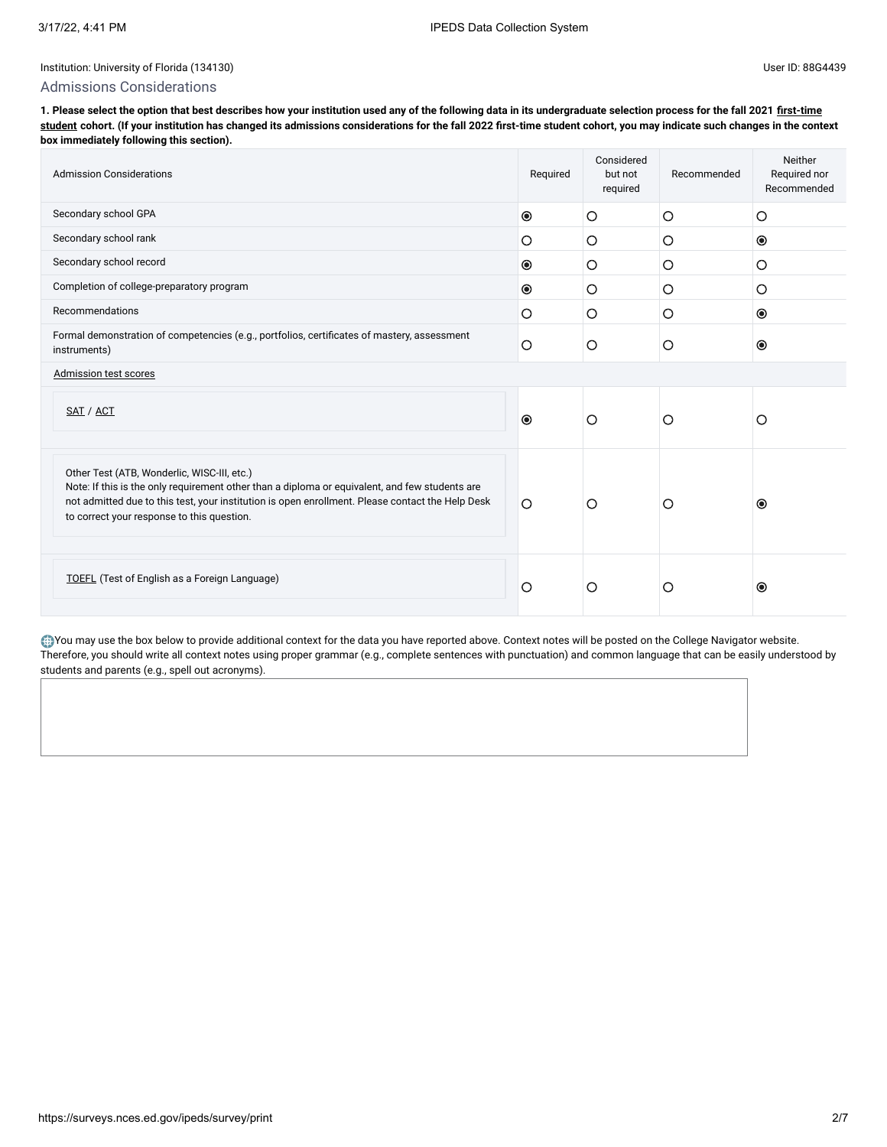## Admissions Considerations

**[1. Please select the option that best describes how your institution used any of the following data in its undergraduate selection process for the fall 2021 first-time](javascript:openglossary(241)) student cohort. (If your institution has changed its admissions considerations for the fall 2022 first-time student cohort, you may indicate such changes in the context box immediately following this section).**

| <b>Admission Considerations</b>                                                                                                                                                                                                                                                                 |                | Considered<br>but not<br>required | Recommended | Neither<br>Required nor<br>Recommended |
|-------------------------------------------------------------------------------------------------------------------------------------------------------------------------------------------------------------------------------------------------------------------------------------------------|----------------|-----------------------------------|-------------|----------------------------------------|
| Secondary school GPA                                                                                                                                                                                                                                                                            | $\circledcirc$ | O                                 | O           | O                                      |
| Secondary school rank                                                                                                                                                                                                                                                                           | $\circ$        | O                                 | O           | $\circledcirc$                         |
| Secondary school record                                                                                                                                                                                                                                                                         | $\bullet$      | O                                 | $\circ$     | O                                      |
| Completion of college-preparatory program                                                                                                                                                                                                                                                       | $\circledcirc$ | O                                 | $\circ$     | O                                      |
| Recommendations                                                                                                                                                                                                                                                                                 | $\circ$        | $\circ$                           | O           | $\circledcirc$                         |
| Formal demonstration of competencies (e.g., portfolios, certificates of mastery, assessment<br>instruments)                                                                                                                                                                                     |                | O                                 | O           | $\circledcirc$                         |
| Admission test scores                                                                                                                                                                                                                                                                           |                |                                   |             |                                        |
| SAT / ACT                                                                                                                                                                                                                                                                                       | $\odot$        | $\circ$                           | O           | O                                      |
| Other Test (ATB, Wonderlic, WISC-III, etc.)<br>Note: If this is the only requirement other than a diploma or equivalent, and few students are<br>not admitted due to this test, your institution is open enrollment. Please contact the Help Desk<br>to correct your response to this question. | $\circ$        | O                                 | Ο           | $\odot$                                |
| <b>TOEFL</b> (Test of English as a Foreign Language)                                                                                                                                                                                                                                            | $\circ$        | O                                 | О           | $\odot$                                |

You may use the box below to provide additional context for the data you have reported above. Context notes will be posted on the College Navigator website. Therefore, you should write all context notes using proper grammar (e.g., complete sentences with punctuation) and common language that can be easily understood by students and parents (e.g., spell out acronyms).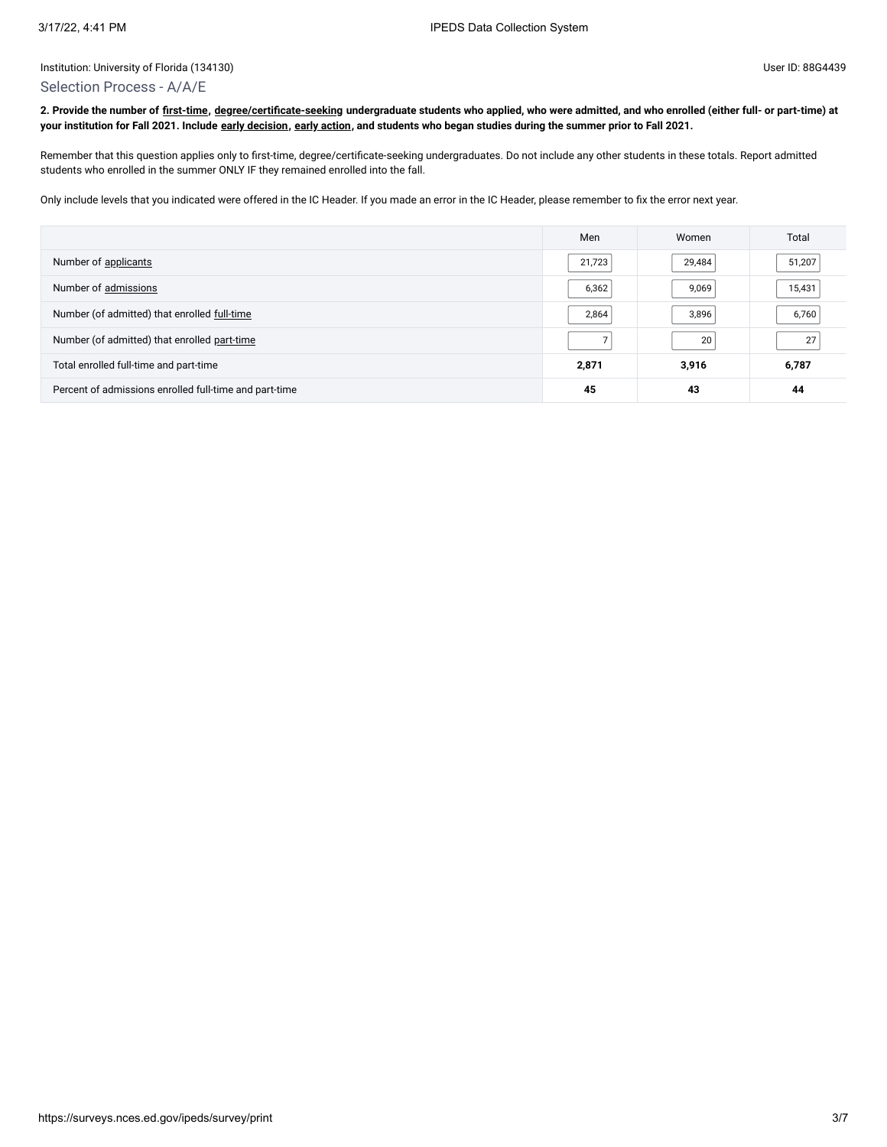## Selection Process - A/A/E

**2. Provide the number of [first-time](javascript:openglossary(241)), [degree/certificate-seeking](javascript:openglossary(171)) undergraduate students who applied, who were admitted, and who enrolled (either full- or part-time) at your institution for Fall 2021. Include [early decision,](javascript:openglossary(705)) [early action](javascript:openglossary(703)), and students who began studies during the summer prior to Fall 2021.**

Remember that this question applies only to first-time, degree/certificate-seeking undergraduates. Do not include any other students in these totals. Report admitted students who enrolled in the summer ONLY IF they remained enrolled into the fall.

Only include levels that you indicated were offered in the IC Header. If you made an error in the IC Header, please remember to fix the error next year.

|                                                        | Men    | Women  | Total  |
|--------------------------------------------------------|--------|--------|--------|
| Number of applicants                                   | 21,723 | 29,484 | 51,207 |
| Number of admissions                                   | 6,362  | 9,069  | 15,431 |
| Number (of admitted) that enrolled full-time           | 2,864  | 3,896  | 6,760  |
| Number (of admitted) that enrolled part-time           |        | 20     | 27     |
| Total enrolled full-time and part-time                 | 2,871  | 3,916  | 6,787  |
| Percent of admissions enrolled full-time and part-time | 45     | 43     | 44     |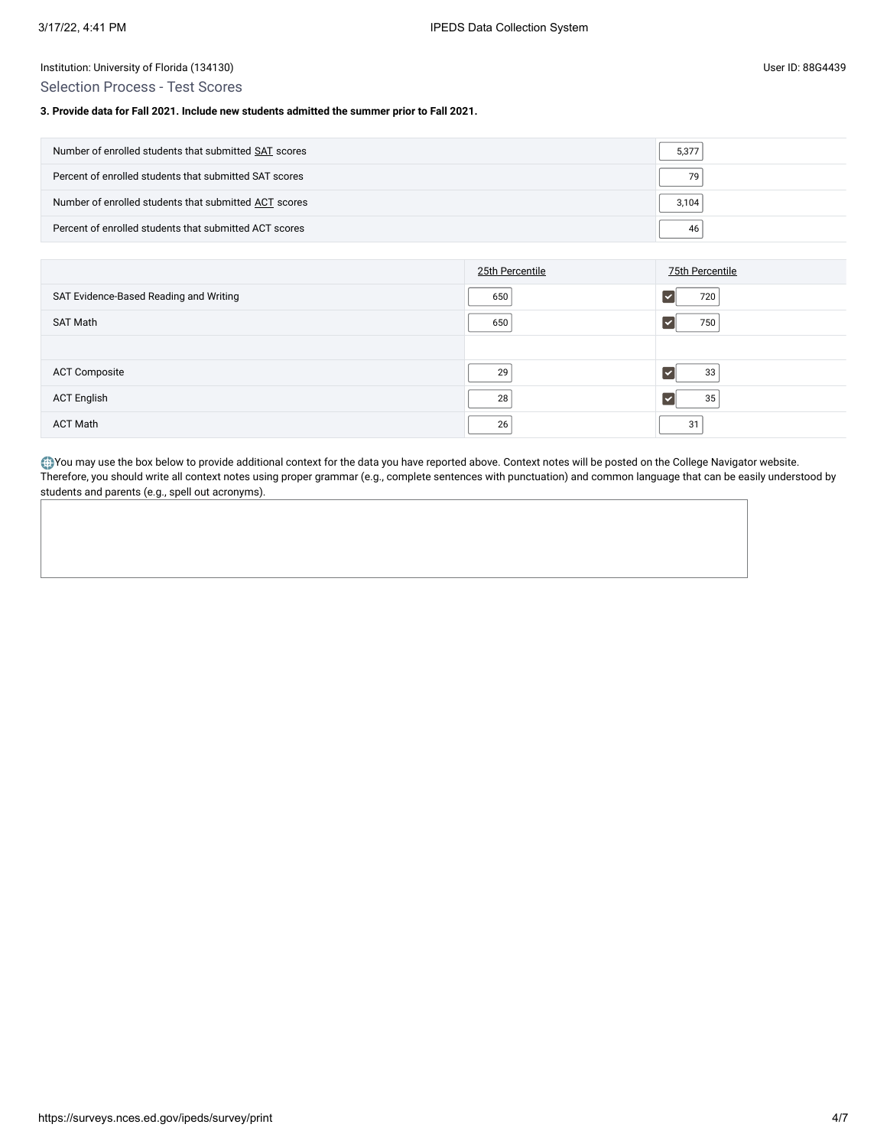## Selection Process - Test Scores

## **3. Provide data for Fall 2021. Include new students admitted the summer prior to Fall 2021.**

| Number of enrolled students that submitted SAT scores  | 5,377 |
|--------------------------------------------------------|-------|
| Percent of enrolled students that submitted SAT scores | 79    |
| Number of enrolled students that submitted ACT scores  | 3,104 |
| Percent of enrolled students that submitted ACT scores | 46    |

|                                        | 25th Percentile | 75th Percentile |
|----------------------------------------|-----------------|-----------------|
| SAT Evidence-Based Reading and Writing | 650             | 720             |
| SAT Math                               | 650             | 750             |
|                                        |                 |                 |
| <b>ACT Composite</b>                   | 29              | 33              |
| <b>ACT English</b>                     | 28              | 35              |
| <b>ACT Math</b>                        | 26              | 31              |

You may use the box below to provide additional context for the data you have reported above. Context notes will be posted on the College Navigator website. Therefore, you should write all context notes using proper grammar (e.g., complete sentences with punctuation) and common language that can be easily understood by students and parents (e.g., spell out acronyms).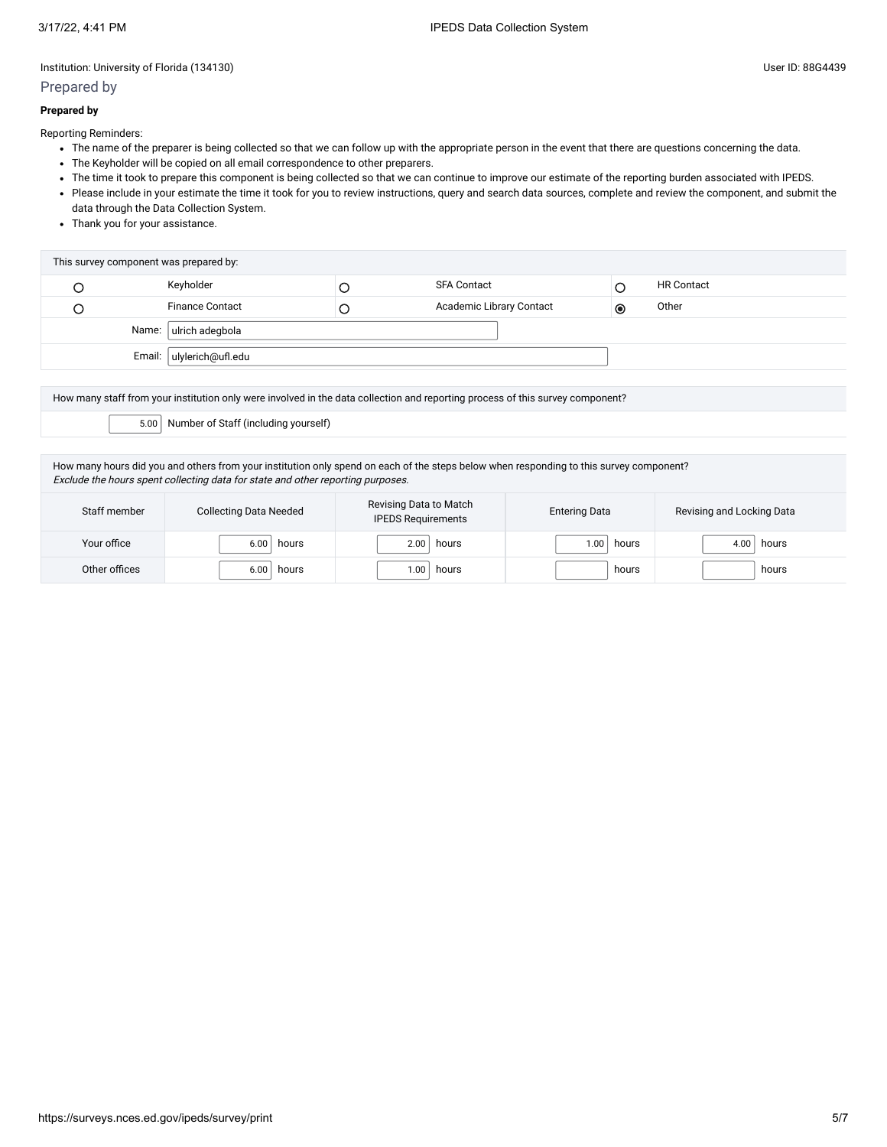## Prepared by

## **Prepared by**

Reporting Reminders:

- The name of the preparer is being collected so that we can follow up with the appropriate person in the event that there are questions concerning the data.
- The Keyholder will be copied on all email correspondence to other preparers.
- The time it took to prepare this component is being collected so that we can continue to improve our estimate of the reporting burden associated with IPEDS.
- Please include in your estimate the time it took for you to review instructions, query and search data sources, complete and review the component, and submit the data through the Data Collection System.
- Thank you for your assistance.

| This survey component was prepared by: |                        |  |                          |           |                   |  |
|----------------------------------------|------------------------|--|--------------------------|-----------|-------------------|--|
|                                        | Keyholder              |  | <b>SFA Contact</b>       |           | <b>HR Contact</b> |  |
|                                        | <b>Finance Contact</b> |  | Academic Library Contact | $\bullet$ | Other             |  |
| Name: ulrich adegbola                  |                        |  |                          |           |                   |  |
| Email:   ulylerich@ufl.edu             |                        |  |                          |           |                   |  |

How many staff from your institution only were involved in the data collection and reporting process of this survey component?

5.00 Number of Staff (including yourself)

How many hours did you and others from your institution only spend on each of the steps below when responding to this survey component? Exclude the hours spent collecting data for state and other reporting purposes.

| Staff member  | <b>Collecting Data Needed</b> | Revising Data to Match<br><b>IPEDS Requirements</b> | <b>Entering Data</b> | Revising and Locking Data |
|---------------|-------------------------------|-----------------------------------------------------|----------------------|---------------------------|
| Your office   | 6.00<br>hours                 | hours<br>2.00                                       | 1.00<br>hours        | hours<br>4.00             |
| Other offices | 6.00<br>hours                 | .00<br>hours                                        | hours                | hours                     |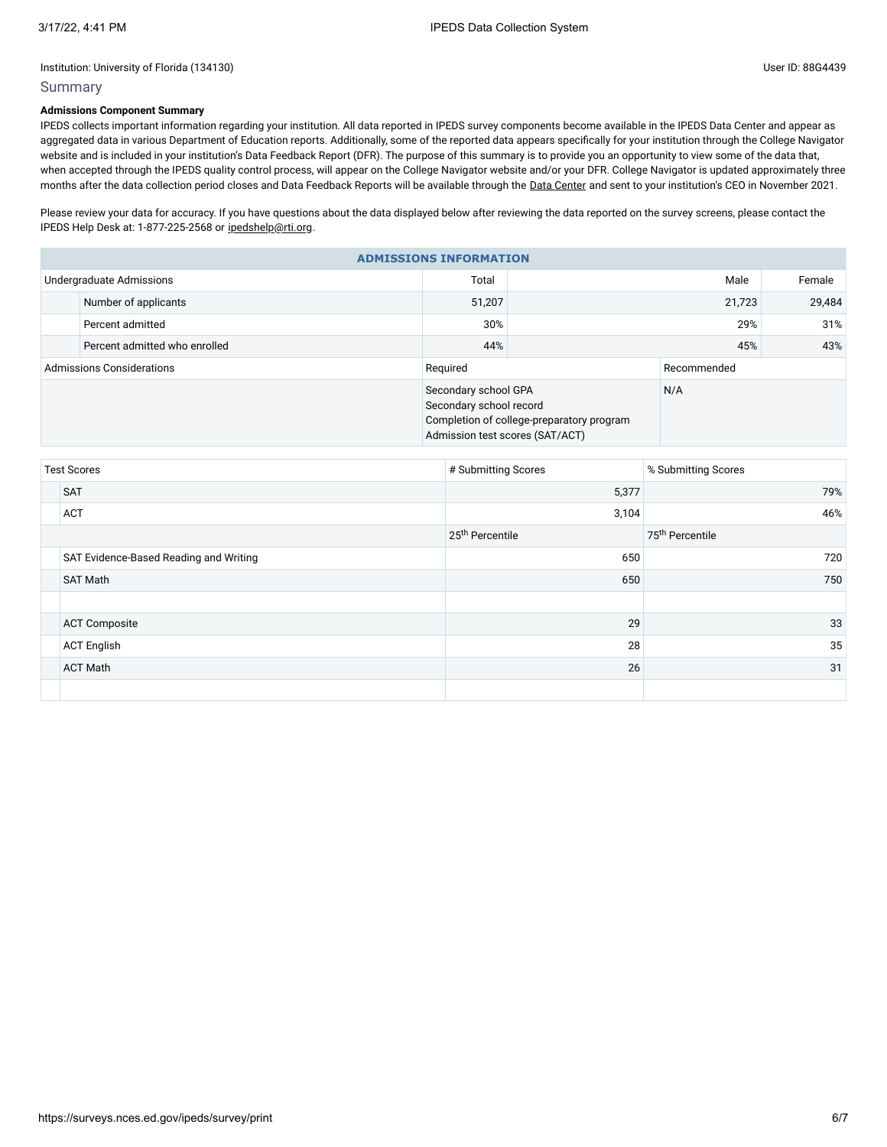## Summary

## **Admissions Component Summary**

IPEDS collects important information regarding your institution. All data reported in IPEDS survey components become available in the IPEDS Data Center and appear as aggregated data in various Department of Education reports. Additionally, some of the reported data appears specifically for your institution through the College Navigator website and is included in your institution's Data Feedback Report (DFR). The purpose of this summary is to provide you an opportunity to view some of the data that, when accepted through the IPEDS quality control process, will appear on the College Navigator website and/or your DFR. College Navigator is updated approximately three months after the data collection period closes and Data Feedback Reports will be available through the Data [Center](https://nces.ed.gov/ipeds/use-the-data) and sent to your institution's CEO in November 2021.

Please review your data for accuracy. If you have questions about the data displayed below after reviewing the data reported on the survey screens, please contact the IPEDS Help Desk at: 1-877-225-2568 or [ipedshelp@rti.org.](mailto:ipedshelp@rti.org)

| <b>ADMISSIONS INFORMATION</b>    |                               |                                                 |                                                                                     |             |        |  |  |
|----------------------------------|-------------------------------|-------------------------------------------------|-------------------------------------------------------------------------------------|-------------|--------|--|--|
|                                  | Undergraduate Admissions      | Total                                           |                                                                                     | Male        | Female |  |  |
|                                  | Number of applicants          | 51,207                                          | 21,723                                                                              |             | 29.484 |  |  |
|                                  | Percent admitted              | 30%                                             |                                                                                     | 31%         |        |  |  |
|                                  | Percent admitted who enrolled | 44%                                             |                                                                                     | 43%         |        |  |  |
| <b>Admissions Considerations</b> |                               | Required                                        |                                                                                     | Recommended |        |  |  |
|                                  |                               | Secondary school GPA<br>Secondary school record | N/A<br>Completion of college-preparatory program<br>Admission test scores (SAT/ACT) |             |        |  |  |

| <b>Test Scores</b> |                                        | # Submitting Scores         | % Submitting Scores         |  |
|--------------------|----------------------------------------|-----------------------------|-----------------------------|--|
|                    | <b>SAT</b>                             | 5,377                       | 79%                         |  |
|                    | <b>ACT</b>                             | 3,104                       | 46%                         |  |
|                    |                                        | 25 <sup>th</sup> Percentile | 75 <sup>th</sup> Percentile |  |
|                    | SAT Evidence-Based Reading and Writing | 650                         | 720                         |  |
|                    | <b>SAT Math</b>                        | 650                         | 750                         |  |
|                    |                                        |                             |                             |  |
|                    | <b>ACT Composite</b>                   | 29                          | 33                          |  |
|                    | <b>ACT English</b>                     | 28                          | 35                          |  |
|                    | <b>ACT Math</b>                        | 26                          | 31                          |  |
|                    |                                        |                             |                             |  |